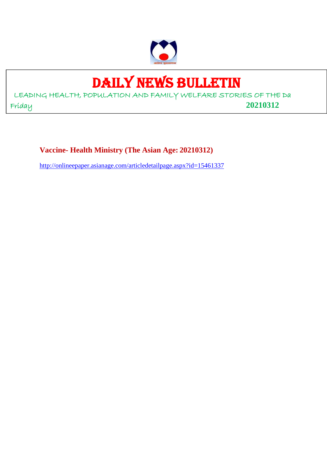

# DAILY NEWS BULLETIN

LEADING HEALTH, POPULATION AND FAMILY WELFARE STORIES OF THE Da Friday **20210312**

**Vaccine- Health Ministry (The Asian Age: 20210312)**

http://onlineepaper.asianage.com/articledetailpage.aspx?id=15461337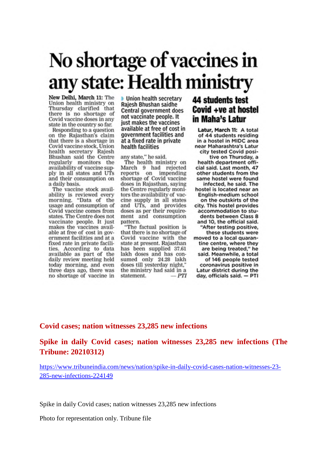# No shortage of vaccines in any state: Health ministry

New Delhi, March 11: The Union health ministry on Thursday clarified that there is no shortage of Covid vaccine doses in any state in the country so far.

Responding to a question on the Rajasthan's claim that there is a shortage in Covid vaccine stock, Union health secretary Rajesh Bhushan said the Centre regularly monitors the availability of vaccine supply in all states and UTs and their consumption on a daily basis.

The vaccine stock availability is reviewed every<br>morning. "Data of the usage and consumption of Covid vaccine comes from states. The Centre does not vaccinate people. It just makes the vaccines available at free of cost in government facilities and at a fixed rate in private facilities. According to data available as part of the daily review meeting held today morning, and even three days ago, there was no shortage of vaccine in **Union health secretary** Rajesh Bhushan saidhe Central government does not vaccinate people. It just makes the vaccines available at free of cost in government facilities and at a fixed rate in private health facilities

any state," he said.

The health ministry on March 9 had rejected reports on impending<br>shortage of Covid vaccine doses in Rajasthan, saying the Centre regularly monitors the availability of vaccine supply in all states and UTs, and provides doses as per their requirement and consumption pattern.

"The factual position is that there is no shortage of Covid vaccine with the state at present. Rajasthan has been supplied 37.61 lakh doses and has consumed only 24.28 lakh doses till yesterday night," the ministry had said in a statement.  $-PTI$ 

# **44 students test** Covid +ve at hostel in Maha's Latur

Latur, March 11: A total of 44 students residing in a hostel in MIDC area near Maharashtra's Latur city tested Covid positive on Thursday, a health department official said. Last month, 47 other students from the same hostel were found infected, he said. The hostel is located near an English-medium school on the outskirts of the city. This hostel provides accommodation to students between Class 8 and 10, the official said. "After testing positive, these students were moved to a local quarantine centre, where they are being treated," he said. Meanwhile, a total of 146 people tested coronavirus positive in Latur district during the day, officials said. - PTI

### **Covid cases; nation witnesses 23,285 new infections**

**Spike in daily Covid cases; nation witnesses 23,285 new infections (The Tribune: 20210312)**

https://www.tribuneindia.com/news/nation/spike-in-daily-covid-cases-nation-witnesses-23- 285-new-infections-224149

Spike in daily Covid cases; nation witnesses 23,285 new infections

Photo for representation only. Tribune file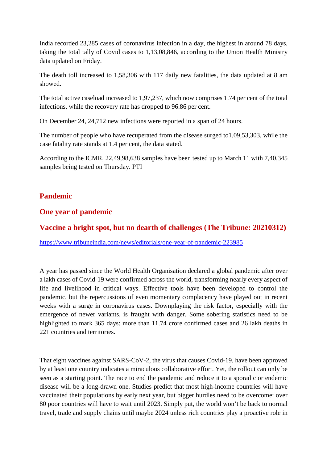India recorded 23,285 cases of coronavirus infection in a day, the highest in around 78 days, taking the total tally of Covid cases to 1,13,08,846, according to the Union Health Ministry data updated on Friday.

The death toll increased to 1,58,306 with 117 daily new fatalities, the data updated at 8 am showed.

The total active caseload increased to 1,97,237, which now comprises 1.74 per cent of the total infections, while the recovery rate has dropped to 96.86 per cent.

On December 24, 24,712 new infections were reported in a span of 24 hours.

The number of people who have recuperated from the disease surged to1,09,53,303, while the case fatality rate stands at 1.4 per cent, the data stated.

According to the ICMR, 22,49,98,638 samples have been tested up to March 11 with 7,40,345 samples being tested on Thursday. PTI

# **Pandemic**

# **One year of pandemic**

# **Vaccine a bright spot, but no dearth of challenges (The Tribune: 20210312)**

https://www.tribuneindia.com/news/editorials/one-year-of-pandemic-223985

A year has passed since the World Health Organisation declared a global pandemic after over a lakh cases of Covid-19 were confirmed across the world, transforming nearly every aspect of life and livelihood in critical ways. Effective tools have been developed to control the pandemic, but the repercussions of even momentary complacency have played out in recent weeks with a surge in coronavirus cases. Downplaying the risk factor, especially with the emergence of newer variants, is fraught with danger. Some sobering statistics need to be highlighted to mark 365 days: more than 11.74 crore confirmed cases and 26 lakh deaths in 221 countries and territories.

That eight vaccines against SARS-CoV-2, the virus that causes Covid-19, have been approved by at least one country indicates a miraculous collaborative effort. Yet, the rollout can only be seen as a starting point. The race to end the pandemic and reduce it to a sporadic or endemic disease will be a long-drawn one. Studies predict that most high-income countries will have vaccinated their populations by early next year, but bigger hurdles need to be overcome: over 80 poor countries will have to wait until 2023. Simply put, the world won't be back to normal travel, trade and supply chains until maybe 2024 unless rich countries play a proactive role in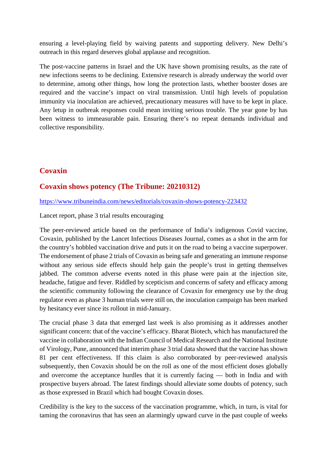ensuring a level-playing field by waiving patents and supporting delivery. New Delhi's outreach in this regard deserves global applause and recognition.

The post-vaccine patterns in Israel and the UK have shown promising results, as the rate of new infections seems to be declining. Extensive research is already underway the world over to determine, among other things, how long the protection lasts, whether booster doses are required and the vaccine's impact on viral transmission. Until high levels of population immunity via inoculation are achieved, precautionary measures will have to be kept in place. Any letup in outbreak responses could mean inviting serious trouble. The year gone by has been witness to immeasurable pain. Ensuring there's no repeat demands individual and collective responsibility.

# **Covaxin**

# **Covaxin shows potency (The Tribune: 20210312)**

https://www.tribuneindia.com/news/editorials/covaxin-shows-potency-223432

Lancet report, phase 3 trial results encouraging

The peer-reviewed article based on the performance of India's indigenous Covid vaccine, Covaxin, published by the Lancet Infectious Diseases Journal, comes as a shot in the arm for the country's hobbled vaccination drive and puts it on the road to being a vaccine superpower. The endorsement of phase 2 trials of Covaxin as being safe and generating an immune response without any serious side effects should help gain the people's trust in getting themselves jabbed. The common adverse events noted in this phase were pain at the injection site, headache, fatigue and fever. Riddled by scepticism and concerns of safety and efficacy among the scientific community following the clearance of Covaxin for emergency use by the drug regulator even as phase 3 human trials were still on, the inoculation campaign has been marked by hesitancy ever since its rollout in mid-January.

The crucial phase 3 data that emerged last week is also promising as it addresses another significant concern: that of the vaccine's efficacy. Bharat Biotech, which has manufactured the vaccine in collaboration with the Indian Council of Medical Research and the National Institute of Virology, Pune, announced that interim phase 3 trial data showed that the vaccine has shown 81 per cent effectiveness. If this claim is also corroborated by peer-reviewed analysis subsequently, then Covaxin should be on the roll as one of the most efficient doses globally and overcome the acceptance hurdles that it is currently facing — both in India and with prospective buyers abroad. The latest findings should alleviate some doubts of potency, such as those expressed in Brazil which had bought Covaxin doses.

Credibility is the key to the success of the vaccination programme, which, in turn, is vital for taming the coronavirus that has seen an alarmingly upward curve in the past couple of weeks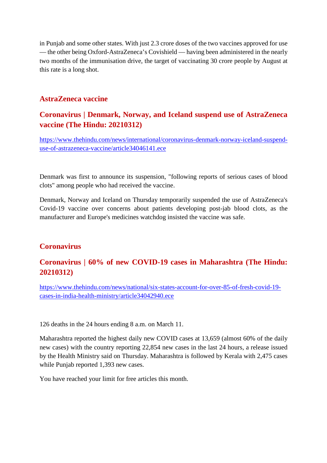in Punjab and some other states. With just 2.3 crore doses of the two vaccines approved for use — the other being Oxford-AstraZeneca's Covishield — having been administered in the nearly two months of the immunisation drive, the target of vaccinating 30 crore people by August at this rate is a long shot.

## **AstraZeneca vaccine**

# **Coronavirus | Denmark, Norway, and Iceland suspend use of AstraZeneca vaccine (The Hindu: 20210312)**

https://www.thehindu.com/news/international/coronavirus-denmark-norway-iceland-suspenduse-of-astrazeneca-vaccine/article34046141.ece

Denmark was first to announce its suspension, "following reports of serious cases of blood clots" among people who had received the vaccine.

Denmark, Norway and Iceland on Thursday temporarily suspended the use of AstraZeneca's Covid-19 vaccine over concerns about patients developing post-jab blood clots, as the manufacturer and Europe's medicines watchdog insisted the vaccine was safe.

# **Coronavirus**

# **Coronavirus | 60% of new COVID-19 cases in Maharashtra (The Hindu: 20210312)**

https://www.thehindu.com/news/national/six-states-account-for-over-85-of-fresh-covid-19 cases-in-india-health-ministry/article34042940.ece

126 deaths in the 24 hours ending 8 a.m. on March 11.

Maharashtra reported the highest daily new COVID cases at 13,659 (almost 60% of the daily new cases) with the country reporting 22,854 new cases in the last 24 hours, a release issued by the Health Ministry said on Thursday. Maharashtra is followed by Kerala with 2,475 cases while Punjab reported 1,393 new cases.

You have reached your limit for free articles this month.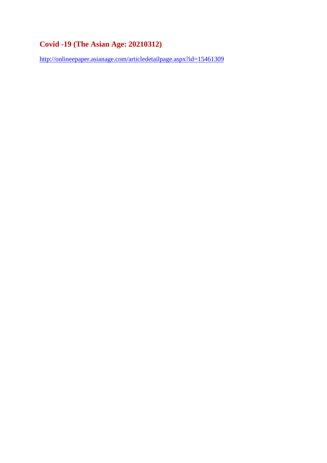# **Covid -19 (The Asian Age: 20210312)**

http://onlineepaper.asianage.com/articledetailpage.aspx?id=15461309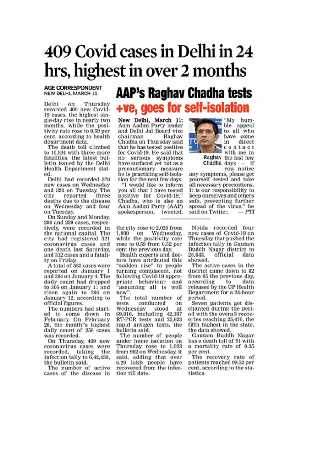# 409 Covid cases in Delhi in 24 hrs, highest in over 2 months

**AGE CORRESPONDENT** NEW DELHI, MARCH 11

Delhi on Thursday recorded 409 new Covid-19 cases, the highest single-day rise in nearly two months, while the positivity rate rose to 0.59 per cent, according to health department data.

The death toll climbed to 10,934 with three more fatalities, the latest bulletin issued by the Delhi Health Department stated.

Delhi had recorded 370 new cases on Wednesday and 320 on Tuesday. The reported three city deaths due to the disease on Wednesday and four on Tuesday.

On Sunday and Monday, 286 and 239 cases, respectively, were recorded in the national capital. The city had registered 321 coronavirus cases and one death last Saturday. and 312 cases and a fatality on Friday.

A total of 585 cases were reported on January 1 and 384 on January 4. The daily count had dropped to 306 on January 11 and risen again to 386 on January 12, according to official figures.

The numbers had started to come down in February. On February 26, the month"s highest daily count of 256 cases was recorded.

On Thursday, 409 new coronavirus cases were recorded. taking the infection tally to 6,42,439, the bulletin said.

The number of active cases of the disease in

# **AAP's Raghav Chadha tests** +ve, goes for self-isolation

New Delhi, March 11:<br>Aam Aadmi Party leader and Delhi Jal Board vice Raghay chairman Chadha on Thursday said that he has tested positive for Covid-19. He said that no serious symptoms have surfaced yet but as a precautionary measure he is practicing self-isolation for the next few days.

"I would like to inform you all that I have tested positive for Covid-19," Chadha, who is also an Aam Aadmi Party (AAP) spokesperson, tweeted.

the city rose to 2,020 from on Wednesday, 1.900 while the positivity rate rose to 0.59 from 0.52 per cent the previous day.

Health experts and doctors have attributed this "sudden rise" to people turning complacent, not following Covid-19 appropriate behaviour and 'assuming all is well now".

The total number of conducted tests on Wednesday stood at 69,810, including 42,187 RT-PCR tests and 25,623 rapid antigen tests, the bulletin said.

The number of people under home isolation on Thursday rose to 1,028 from 982 on Wednesday, it said, adding that over 6.29 lakh people have recovered from the infection till date.



ble appeal to all who have come in direct gcontact **Milli** with me in Raghav the last few

'My hum-

Chadha days  $$ if you notice

any symptoms, please get yourself tested and take all necessary precautions. It is our responsibility to keep ourselves and others safe, preventing further sare,  $\mu$  of the virus," he

Noida recorded four new cases of Covid-19 on Thursday that pushed the infection tally in Gautam Buddh Nagar district to 25,643. official data showed.

The active cases in the district came down to 82 from 85 the previous day, according to data released by the UP Health Department for a 24-hour period.

Seven patients got discharged during the period with the overall recoveries reaching 25,470, the fifth highest in the state, the data showed.

Gautam Buddh Nagar has a death toll of 91 with a mortality rate of 0.35 per cent.

The recovery rate of patients reached 99.32 per cent, according to the statistics.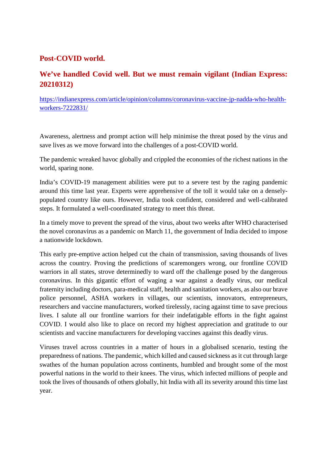# **Post-COVID world.**

# **We've handled Covid well. But we must remain vigilant (Indian Express: 20210312)**

https://indianexpress.com/article/opinion/columns/coronavirus-vaccine-jp-nadda-who-healthworkers-7222831/

Awareness, alertness and prompt action will help minimise the threat posed by the virus and save lives as we move forward into the challenges of a post-COVID world.

The pandemic wreaked havoc globally and crippled the economies of the richest nations in the world, sparing none.

India's COVID-19 management abilities were put to a severe test by the raging pandemic around this time last year. Experts were apprehensive of the toll it would take on a denselypopulated country like ours. However, India took confident, considered and well-calibrated steps. It formulated a well-coordinated strategy to meet this threat.

In a timely move to prevent the spread of the virus, about two weeks after WHO characterised the novel coronavirus as a pandemic on March 11, the government of India decided to impose a nationwide lockdown.

This early pre-emptive action helped cut the chain of transmission, saving thousands of lives across the country. Proving the predictions of scaremongers wrong, our frontline COVID warriors in all states, strove determinedly to ward off the challenge posed by the dangerous coronavirus. In this gigantic effort of waging a war against a deadly virus, our medical fraternity including doctors, para-medical staff, health and sanitation workers, as also our brave police personnel, ASHA workers in villages, our scientists, innovators, entrepreneurs, researchers and vaccine manufacturers, worked tirelessly, racing against time to save precious lives. I salute all our frontline warriors for their indefatigable efforts in the fight against COVID. I would also like to place on record my highest appreciation and gratitude to our scientists and vaccine manufacturers for developing vaccines against this deadly virus.

Viruses travel across countries in a matter of hours in a globalised scenario, testing the preparedness of nations. The pandemic, which killed and caused sickness as it cut through large swathes of the human population across continents, humbled and brought some of the most powerful nations in the world to their knees. The virus, which infected millions of people and took the lives of thousands of others globally, hit India with all its severity around this time last year.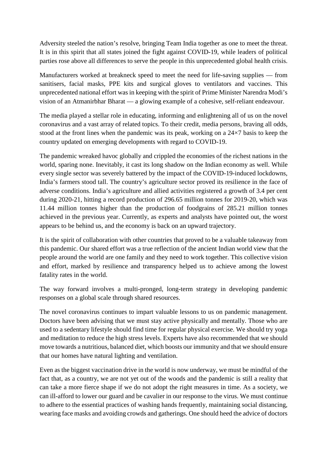Adversity steeled the nation's resolve, bringing Team India together as one to meet the threat. It is in this spirit that all states joined the fight against COVID-19, while leaders of political parties rose above all differences to serve the people in this unprecedented global health crisis.

Manufacturers worked at breakneck speed to meet the need for life-saving supplies — from sanitisers, facial masks, PPE kits and surgical gloves to ventilators and vaccines. This unprecedented national effort was in keeping with the spirit of Prime Minister Narendra Modi's vision of an Atmanirbhar Bharat — a glowing example of a cohesive, self-reliant endeavour.

The media played a stellar role in educating, informing and enlightening all of us on the novel coronavirus and a vast array of related topics. To their credit, media persons, braving all odds, stood at the front lines when the pandemic was its peak, working on a 24×7 basis to keep the country updated on emerging developments with regard to COVID-19.

The pandemic wreaked havoc globally and crippled the economies of the richest nations in the world, sparing none. Inevitably, it cast its long shadow on the Indian economy as well. While every single sector was severely battered by the impact of the COVID-19-induced lockdowns, India's farmers stood tall. The country's agriculture sector proved its resilience in the face of adverse conditions. India's agriculture and allied activities registered a growth of 3.4 per cent during 2020-21, hitting a record production of 296.65 million tonnes for 2019-20, which was 11.44 million tonnes higher than the production of foodgrains of 285.21 million tonnes achieved in the previous year. Currently, as experts and analysts have pointed out, the worst appears to be behind us, and the economy is back on an upward trajectory.

It is the spirit of collaboration with other countries that proved to be a valuable takeaway from this pandemic. Our shared effort was a true reflection of the ancient Indian world view that the people around the world are one family and they need to work together. This collective vision and effort, marked by resilience and transparency helped us to achieve among the lowest fatality rates in the world.

The way forward involves a multi-pronged, long-term strategy in developing pandemic responses on a global scale through shared resources.

The novel coronavirus continues to impart valuable lessons to us on pandemic management. Doctors have been advising that we must stay active physically and mentally. Those who are used to a sedentary lifestyle should find time for regular physical exercise. We should try yoga and meditation to reduce the high stress levels. Experts have also recommended that we should move towards a nutritious, balanced diet, which boosts our immunity and that we should ensure that our homes have natural lighting and ventilation.

Even as the biggest vaccination drive in the world is now underway, we must be mindful of the fact that, as a country, we are not yet out of the woods and the pandemic is still a reality that can take a more fierce shape if we do not adopt the right measures in time. As a society, we can ill-afford to lower our guard and be cavalier in our response to the virus. We must continue to adhere to the essential practices of washing hands frequently, maintaining social distancing, wearing face masks and avoiding crowds and gatherings. One should heed the advice of doctors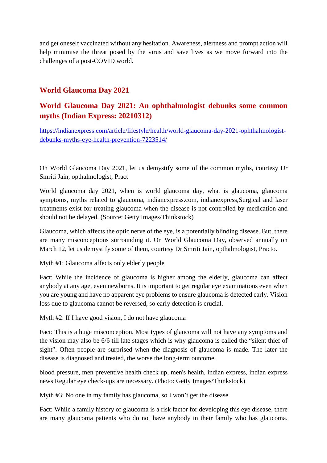and get oneself vaccinated without any hesitation. Awareness, alertness and prompt action will help minimise the threat posed by the virus and save lives as we move forward into the challenges of a post-COVID world.

# **World Glaucoma Day 2021**

# **World Glaucoma Day 2021: An ophthalmologist debunks some common myths (Indian Express: 20210312)**

https://indianexpress.com/article/lifestyle/health/world-glaucoma-day-2021-ophthalmologistdebunks-myths-eye-health-prevention-7223514/

On World Glaucoma Day 2021, let us demystify some of the common myths, courtesy Dr Smriti Jain, opthalmologist, Pract

World glaucoma day 2021, when is world glaucoma day, what is glaucoma, glaucoma symptoms, myths related to glaucoma, indianexpress.com, indianexpress,Surgical and laser treatments exist for treating glaucoma when the disease is not controlled by medication and should not be delayed. (Source: Getty Images/Thinkstock)

Glaucoma, which affects the optic nerve of the eye, is a potentially blinding disease. But, there are many misconceptions surrounding it. On World Glaucoma Day, observed annually on March 12, let us demystify some of them, courtesy Dr Smriti Jain, opthalmologist, Practo.

Myth #1: Glaucoma affects only elderly people

Fact: While the incidence of glaucoma is higher among the elderly, glaucoma can affect anybody at any age, even newborns. It is important to get regular eye examinations even when you are young and have no apparent eye problems to ensure glaucoma is detected early. Vision loss due to glaucoma cannot be reversed, so early detection is crucial.

Myth #2: If I have good vision, I do not have glaucoma

Fact: This is a huge misconception. Most types of glaucoma will not have any symptoms and the vision may also be 6/6 till late stages which is why glaucoma is called the "silent thief of sight". Often people are surprised when the diagnosis of glaucoma is made. The later the disease is diagnosed and treated, the worse the long-term outcome.

blood pressure, men preventive health check up, men's health, indian express, indian express news Regular eye check-ups are necessary. (Photo: Getty Images/Thinkstock)

Myth #3: No one in my family has glaucoma, so I won't get the disease.

Fact: While a family history of glaucoma is a risk factor for developing this eye disease, there are many glaucoma patients who do not have anybody in their family who has glaucoma.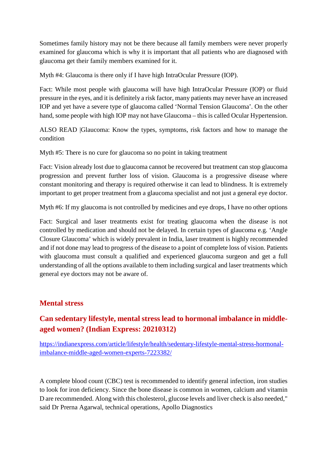Sometimes family history may not be there because all family members were never properly examined for glaucoma which is why it is important that all patients who are diagnosed with glaucoma get their family members examined for it.

Myth #4: Glaucoma is there only if I have high IntraOcular Pressure (IOP).

Fact: While most people with glaucoma will have high IntraOcular Pressure (IOP) or fluid pressure in the eyes, and it is definitely a risk factor, many patients may never have an increased IOP and yet have a severe type of glaucoma called 'Normal Tension Glaucoma'. On the other hand, some people with high IOP may not have Glaucoma – this is called Ocular Hypertension.

ALSO READ |Glaucoma: Know the types, symptoms, risk factors and how to manage the condition

Myth #5: There is no cure for glaucoma so no point in taking treatment

Fact: Vision already lost due to glaucoma cannot be recovered but treatment can stop glaucoma progression and prevent further loss of vision. Glaucoma is a progressive disease where constant monitoring and therapy is required otherwise it can lead to blindness. It is extremely important to get proper treatment from a glaucoma specialist and not just a general eye doctor.

Myth #6: If my glaucoma is not controlled by medicines and eye drops, I have no other options

Fact: Surgical and laser treatments exist for treating glaucoma when the disease is not controlled by medication and should not be delayed. In certain types of glaucoma e.g. 'Angle Closure Glaucoma' which is widely prevalent in India, laser treatment is highly recommended and if not done may lead to progress of the disease to a point of complete loss of vision. Patients with glaucoma must consult a qualified and experienced glaucoma surgeon and get a full understanding of all the options available to them including surgical and laser treatments which general eye doctors may not be aware of.

### **Mental stress**

# **Can sedentary lifestyle, mental stress lead to hormonal imbalance in middleaged women? (Indian Express: 20210312)**

https://indianexpress.com/article/lifestyle/health/sedentary-lifestyle-mental-stress-hormonalimbalance-middle-aged-women-experts-7223382/

A complete blood count (CBC) test is recommended to identify general infection, iron studies to look for iron deficiency. Since the bone disease is common in women, calcium and vitamin D are recommended. Along with this cholesterol, glucose levels and liver check is also needed," said Dr Prerna Agarwal, technical operations, Apollo Diagnostics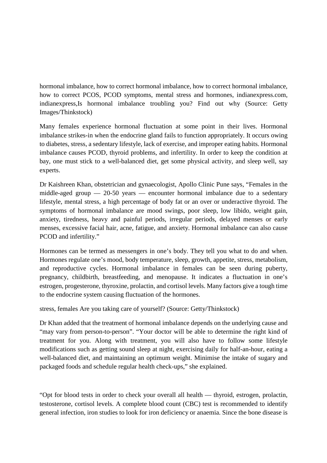hormonal imbalance, how to correct hormonal imbalance, how to correct hormonal imbalance, how to correct PCOS, PCOD symptoms, mental stress and hormones, indianexpress.com, indianexpress,Is hormonal imbalance troubling you? Find out why (Source: Getty Images/Thinkstock)

Many females experience hormonal fluctuation at some point in their lives. Hormonal imbalance strikes-in when the endocrine gland fails to function appropriately. It occurs owing to diabetes, stress, a sedentary lifestyle, lack of exercise, and improper eating habits. Hormonal imbalance causes PCOD, thyroid problems, and infertility. In order to keep the condition at bay, one must stick to a well-balanced diet, get some physical activity, and sleep well, say experts.

Dr Kaishreen Khan, obstetrician and gynaecologist, Apollo Clinic Pune says, "Females in the middle-aged group — 20-50 years — encounter hormonal imbalance due to a sedentary lifestyle, mental stress, a high percentage of body fat or an over or underactive thyroid. The symptoms of hormonal imbalance are mood swings, poor sleep, low libido, weight gain, anxiety, tiredness, heavy and painful periods, irregular periods, delayed menses or early menses, excessive facial hair, acne, fatigue, and anxiety. Hormonal imbalance can also cause PCOD and infertility."

Hormones can be termed as messengers in one's body. They tell you what to do and when. Hormones regulate one's mood, body temperature, sleep, growth, appetite, stress, metabolism, and reproductive cycles. Hormonal imbalance in females can be seen during puberty, pregnancy, childbirth, breastfeeding, and menopause. It indicates a fluctuation in one's estrogen, progesterone, thyroxine, prolactin, and cortisol levels. Many factors give a tough time to the endocrine system causing fluctuation of the hormones.

stress, females Are you taking care of yourself? (Source: Getty/Thinkstock)

Dr Khan added that the treatment of hormonal imbalance depends on the underlying cause and "may vary from person-to-person". "Your doctor will be able to determine the right kind of treatment for you. Along with treatment, you will also have to follow some lifestyle modifications such as getting sound sleep at night, exercising daily for half-an-hour, eating a well-balanced diet, and maintaining an optimum weight. Minimise the intake of sugary and packaged foods and schedule regular health check-ups," she explained.

"Opt for blood tests in order to check your overall all health — thyroid, estrogen, prolactin, testosterone, cortisol levels. A complete blood count (CBC) test is recommended to identify general infection, iron studies to look for iron deficiency or anaemia. Since the bone disease is